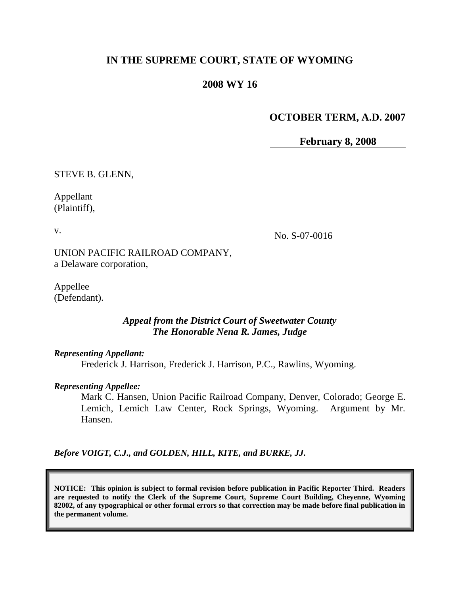# **IN THE SUPREME COURT, STATE OF WYOMING**

## **2008 WY 16**

# **OCTOBER TERM, A.D. 2007**

**February 8, 2008**

STEVE B. GLENN,

Appellant (Plaintiff),

v.

No. S-07-0016

UNION PACIFIC RAILROAD COMPANY, a Delaware corporation,

Appellee (Defendant).

### *Appeal from the District Court of Sweetwater County The Honorable Nena R. James, Judge*

#### *Representing Appellant:*

Frederick J. Harrison, Frederick J. Harrison, P.C., Rawlins, Wyoming.

#### *Representing Appellee:*

Mark C. Hansen, Union Pacific Railroad Company, Denver, Colorado; George E. Lemich, Lemich Law Center, Rock Springs, Wyoming. Argument by Mr. Hansen.

*Before VOIGT, C.J., and GOLDEN, HILL, KITE, and BURKE, JJ.*

**NOTICE: This opinion is subject to formal revision before publication in Pacific Reporter Third. Readers are requested to notify the Clerk of the Supreme Court, Supreme Court Building, Cheyenne, Wyoming 82002, of any typographical or other formal errors so that correction may be made before final publication in the permanent volume.**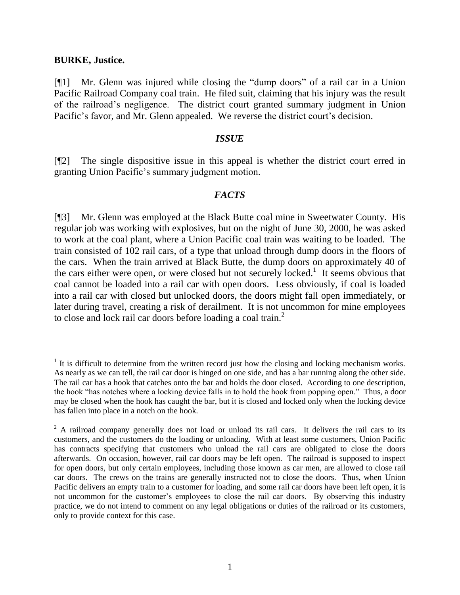#### **BURKE, Justice.**

 $\overline{a}$ 

[¶1] Mr. Glenn was injured while closing the "dump doors" of a rail car in a Union Pacific Railroad Company coal train. He filed suit, claiming that his injury was the result of the railroad's negligence. The district court granted summary judgment in Union Pacific's favor, and Mr. Glenn appealed. We reverse the district court's decision.

#### *ISSUE*

[¶2] The single dispositive issue in this appeal is whether the district court erred in granting Union Pacific's summary judgment motion.

#### *FACTS*

[¶3] Mr. Glenn was employed at the Black Butte coal mine in Sweetwater County. His regular job was working with explosives, but on the night of June 30, 2000, he was asked to work at the coal plant, where a Union Pacific coal train was waiting to be loaded. The train consisted of 102 rail cars, of a type that unload through dump doors in the floors of the cars. When the train arrived at Black Butte, the dump doors on approximately 40 of the cars either were open, or were closed but not securely locked.<sup>1</sup> It seems obvious that coal cannot be loaded into a rail car with open doors. Less obviously, if coal is loaded into a rail car with closed but unlocked doors, the doors might fall open immediately, or later during travel, creating a risk of derailment. It is not uncommon for mine employees to close and lock rail car doors before loading a coal train. 2

 $<sup>1</sup>$  It is difficult to determine from the written record just how the closing and locking mechanism works.</sup> As nearly as we can tell, the rail car door is hinged on one side, and has a bar running along the other side. The rail car has a hook that catches onto the bar and holds the door closed. According to one description, the hook "has notches where a locking device falls in to hold the hook from popping open." Thus, a door may be closed when the hook has caught the bar, but it is closed and locked only when the locking device has fallen into place in a notch on the hook.

 $2$  A railroad company generally does not load or unload its rail cars. It delivers the rail cars to its customers, and the customers do the loading or unloading. With at least some customers, Union Pacific has contracts specifying that customers who unload the rail cars are obligated to close the doors afterwards. On occasion, however, rail car doors may be left open. The railroad is supposed to inspect for open doors, but only certain employees, including those known as car men, are allowed to close rail car doors. The crews on the trains are generally instructed not to close the doors. Thus, when Union Pacific delivers an empty train to a customer for loading, and some rail car doors have been left open, it is not uncommon for the customer's employees to close the rail car doors. By observing this industry practice, we do not intend to comment on any legal obligations or duties of the railroad or its customers, only to provide context for this case.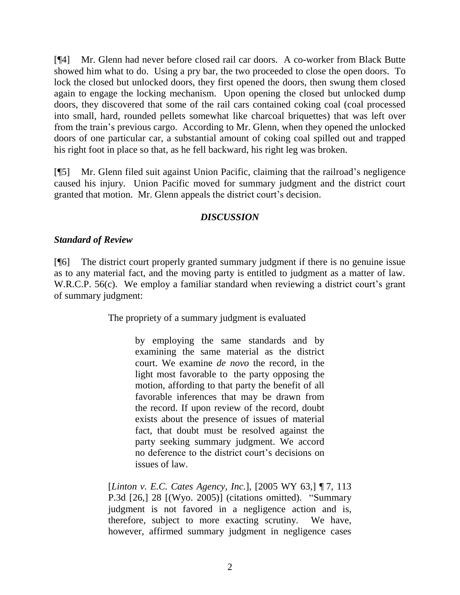[¶4] Mr. Glenn had never before closed rail car doors. A co-worker from Black Butte showed him what to do. Using a pry bar, the two proceeded to close the open doors. To lock the closed but unlocked doors, they first opened the doors, then swung them closed again to engage the locking mechanism. Upon opening the closed but unlocked dump doors, they discovered that some of the rail cars contained coking coal (coal processed into small, hard, rounded pellets somewhat like charcoal briquettes) that was left over from the train's previous cargo. According to Mr. Glenn, when they opened the unlocked doors of one particular car, a substantial amount of coking coal spilled out and trapped his right foot in place so that, as he fell backward, his right leg was broken.

[¶5] Mr. Glenn filed suit against Union Pacific, claiming that the railroad's negligence caused his injury. Union Pacific moved for summary judgment and the district court granted that motion. Mr. Glenn appeals the district court's decision.

### *DISCUSSION*

### *Standard of Review*

[¶6] The district court properly granted summary judgment if there is no genuine issue as to any material fact, and the moving party is entitled to judgment as a matter of law. W.R.C.P. 56(c). We employ a familiar standard when reviewing a district court's grant of summary judgment:

The propriety of a summary judgment is evaluated

by employing the same standards and by examining the same material as the district court. We examine *de novo* the record, in the light most favorable to the party opposing the motion, affording to that party the benefit of all favorable inferences that may be drawn from the record. If upon review of the record, doubt exists about the presence of issues of material fact, that doubt must be resolved against the party seeking summary judgment. We accord no deference to the district court's decisions on issues of law.

[*Linton v. E.C. Cates Agency, Inc.*], [2005 WY 63,] ¶ 7, 113 P.3d [26,] 28 [(Wyo. 2005)] (citations omitted). "Summary judgment is not favored in a negligence action and is, therefore, subject to more exacting scrutiny. We have, however, affirmed summary judgment in negligence cases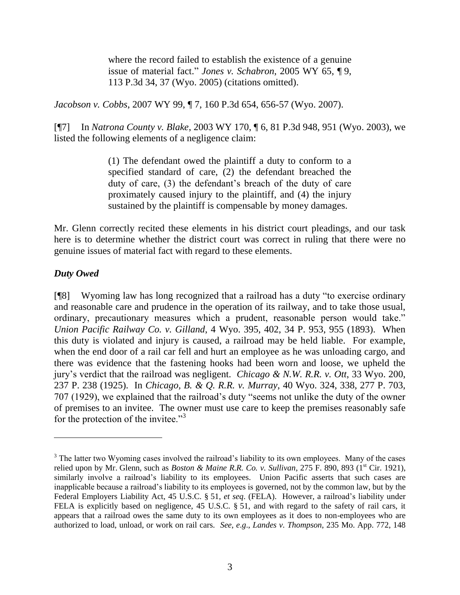where the record failed to establish the existence of a genuine issue of material fact." *Jones v. Schabron*, 2005 WY 65, ¶ 9, 113 P.3d 34, 37 (Wyo. 2005) (citations omitted).

*Jacobson v. Cobbs*, 2007 WY 99, ¶ 7, 160 P.3d 654, 656-57 (Wyo. 2007).

[¶7] In *Natrona County v. Blake*, 2003 WY 170, ¶ 6, 81 P.3d 948, 951 (Wyo. 2003), we listed the following elements of a negligence claim:

> (1) The defendant owed the plaintiff a duty to conform to a specified standard of care, (2) the defendant breached the duty of care, (3) the defendant's breach of the duty of care proximately caused injury to the plaintiff, and (4) the injury sustained by the plaintiff is compensable by money damages.

Mr. Glenn correctly recited these elements in his district court pleadings, and our task here is to determine whether the district court was correct in ruling that there were no genuine issues of material fact with regard to these elements.

### *Duty Owed*

 $\overline{a}$ 

[¶8] Wyoming law has long recognized that a railroad has a duty "to exercise ordinary and reasonable care and prudence in the operation of its railway, and to take those usual, ordinary, precautionary measures which a prudent, reasonable person would take." *Union Pacific Railway Co. v. Gilland*, 4 Wyo. 395, 402, 34 P. 953, 955 (1893). When this duty is violated and injury is caused, a railroad may be held liable. For example, when the end door of a rail car fell and hurt an employee as he was unloading cargo, and there was evidence that the fastening hooks had been worn and loose, we upheld the jury's verdict that the railroad was negligent. *Chicago & N.W. R.R. v. Ott*, 33 Wyo. 200, 237 P. 238 (1925). In *Chicago, B. & Q. R.R. v. Murray*, 40 Wyo. 324, 338, 277 P. 703, 707 (1929), we explained that the railroad's duty "seems not unlike the duty of the owner of premises to an invitee. The owner must use care to keep the premises reasonably safe for the protection of the invitee."<sup>3</sup>

<sup>&</sup>lt;sup>3</sup> The latter two Wyoming cases involved the railroad's liability to its own employees. Many of the cases relied upon by Mr. Glenn, such as *Boston & Maine R.R. Co. v. Sullivan*, 275 F. 890, 893 (1<sup>st</sup> Cir. 1921), similarly involve a railroad's liability to its employees. Union Pacific asserts that such cases are inapplicable because a railroad's liability to its employees is governed, not by the common law, but by the Federal Employers Liability Act, 45 U.S.C. § 51, *et seq*. (FELA). However, a railroad's liability under FELA is explicitly based on negligence, 45 U.S.C. § 51, and with regard to the safety of rail cars, it appears that a railroad owes the same duty to its own employees as it does to non-employees who are authorized to load, unload, or work on rail cars. *See*, *e*.*g*., *Landes v. Thompson*, 235 Mo. App. 772, 148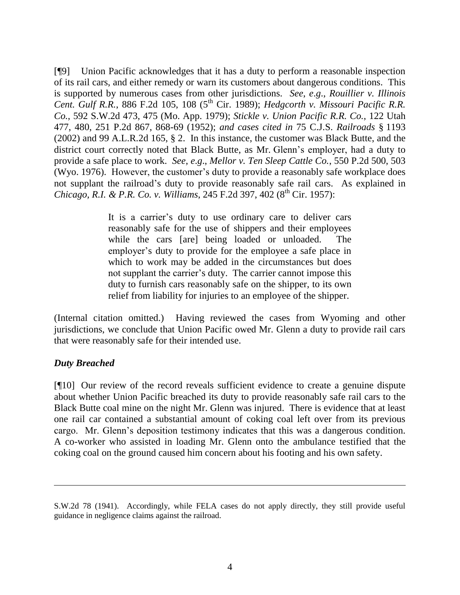[¶9] Union Pacific acknowledges that it has a duty to perform a reasonable inspection of its rail cars, and either remedy or warn its customers about dangerous conditions. This is supported by numerous cases from other jurisdictions. *See*, *e*.*g*., *Rouillier v. Illinois Cent. Gulf R.R., 886 F.2d 105, 108 (5<sup>th</sup> Cir. 1989); <i>Hedgcorth v. Missouri Pacific R.R. Co.*, 592 S.W.2d 473, 475 (Mo. App. 1979); *Stickle v. Union Pacific R.R. Co.*, 122 Utah 477, 480, 251 P.2d 867, 868-69 (1952); *and cases cited in* 75 C.J.S. *Railroads* § 1193 (2002) and 99 A.L.R.2d 165, § 2. In this instance, the customer was Black Butte, and the district court correctly noted that Black Butte, as Mr. Glenn's employer, had a duty to provide a safe place to work. *See*, *e*.*g*., *Mellor v. Ten Sleep Cattle Co.*, 550 P.2d 500, 503 (Wyo. 1976). However, the customer's duty to provide a reasonably safe workplace does not supplant the railroad's duty to provide reasonably safe rail cars. As explained in *Chicago, R.I. & P.R. Co. v. Williams*, 245 F.2d 397, 402 (8<sup>th</sup> Cir. 1957):

> It is a carrier's duty to use ordinary care to deliver cars reasonably safe for the use of shippers and their employees while the cars [are] being loaded or unloaded. The employer's duty to provide for the employee a safe place in which to work may be added in the circumstances but does not supplant the carrier's duty. The carrier cannot impose this duty to furnish cars reasonably safe on the shipper, to its own relief from liability for injuries to an employee of the shipper.

(Internal citation omitted.) Having reviewed the cases from Wyoming and other jurisdictions, we conclude that Union Pacific owed Mr. Glenn a duty to provide rail cars that were reasonably safe for their intended use.

## *Duty Breached*

 $\overline{a}$ 

[¶10] Our review of the record reveals sufficient evidence to create a genuine dispute about whether Union Pacific breached its duty to provide reasonably safe rail cars to the Black Butte coal mine on the night Mr. Glenn was injured. There is evidence that at least one rail car contained a substantial amount of coking coal left over from its previous cargo. Mr. Glenn's deposition testimony indicates that this was a dangerous condition. A co-worker who assisted in loading Mr. Glenn onto the ambulance testified that the coking coal on the ground caused him concern about his footing and his own safety.

S.W.2d 78 (1941). Accordingly, while FELA cases do not apply directly, they still provide useful guidance in negligence claims against the railroad.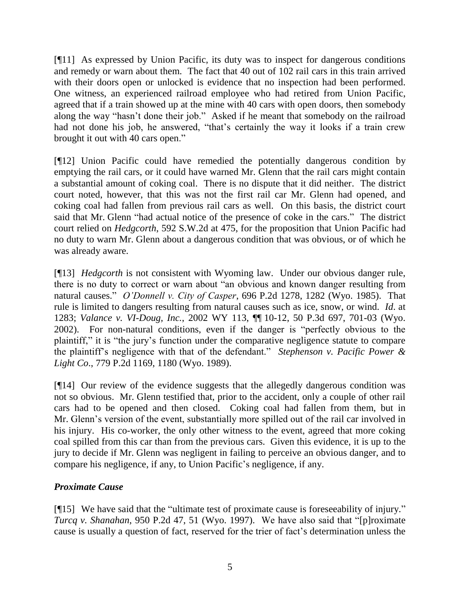[¶11] As expressed by Union Pacific, its duty was to inspect for dangerous conditions and remedy or warn about them. The fact that 40 out of 102 rail cars in this train arrived with their doors open or unlocked is evidence that no inspection had been performed. One witness, an experienced railroad employee who had retired from Union Pacific, agreed that if a train showed up at the mine with 40 cars with open doors, then somebody along the way "hasn't done their job." Asked if he meant that somebody on the railroad had not done his job, he answered, "that's certainly the way it looks if a train crew brought it out with 40 cars open."

[¶12] Union Pacific could have remedied the potentially dangerous condition by emptying the rail cars, or it could have warned Mr. Glenn that the rail cars might contain a substantial amount of coking coal. There is no dispute that it did neither. The district court noted, however, that this was not the first rail car Mr. Glenn had opened, and coking coal had fallen from previous rail cars as well. On this basis, the district court said that Mr. Glenn "had actual notice of the presence of coke in the cars." The district court relied on *Hedgcorth*, 592 S.W.2d at 475, for the proposition that Union Pacific had no duty to warn Mr. Glenn about a dangerous condition that was obvious, or of which he was already aware.

[¶13] *Hedgcorth* is not consistent with Wyoming law. Under our obvious danger rule, there is no duty to correct or warn about "an obvious and known danger resulting from natural causes." *O'Donnell v. City of Casper*, 696 P.2d 1278, 1282 (Wyo. 1985). That rule is limited to dangers resulting from natural causes such as ice, snow, or wind. *Id*. at 1283; *Valance v. VI-Doug, Inc.*, 2002 WY 113, ¶¶ 10-12, 50 P.3d 697, 701-03 (Wyo. 2002). For non-natural conditions, even if the danger is "perfectly obvious to the plaintiff," it is "the jury's function under the comparative negligence statute to compare the plaintiff's negligence with that of the defendant." *Stephenson v. Pacific Power & Light Co*., 779 P.2d 1169, 1180 (Wyo. 1989).

[¶14] Our review of the evidence suggests that the allegedly dangerous condition was not so obvious. Mr. Glenn testified that, prior to the accident, only a couple of other rail cars had to be opened and then closed. Coking coal had fallen from them, but in Mr. Glenn's version of the event, substantially more spilled out of the rail car involved in his injury. His co-worker, the only other witness to the event, agreed that more coking coal spilled from this car than from the previous cars. Given this evidence, it is up to the jury to decide if Mr. Glenn was negligent in failing to perceive an obvious danger, and to compare his negligence, if any, to Union Pacific's negligence, if any.

## *Proximate Cause*

[¶15] We have said that the "ultimate test of proximate cause is foreseeability of injury." *Turcq v. Shanahan*, 950 P.2d 47, 51 (Wyo. 1997). We have also said that "[p]roximate cause is usually a question of fact, reserved for the trier of fact's determination unless the